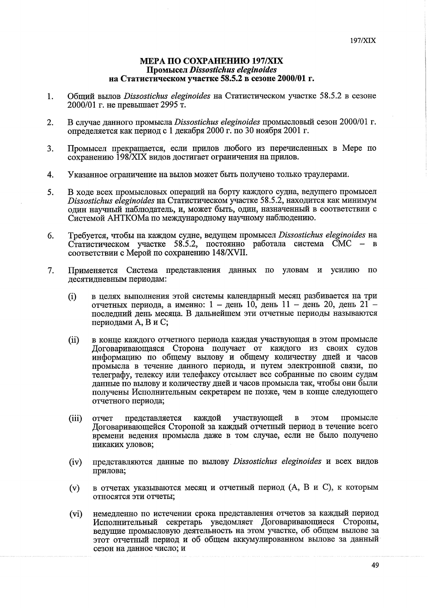## **МЕРА ПО СОХРАНЕНИЮ 197/XIX** Промысел Dissostichus eleginoides на Статистическом участке 58.5.2 в сезоне 2000/01 г.

- Общий вылов Dissostichus eleginoides на Статистическом участке 58.5.2 в сезоне  $\mathbf{1}$ . 2000/01 г. не превышает 2995 т.
- $2.$ В случае данного промысла Dissostichus eleginoides промысловый сезон 2000/01 г. определяется как период с 1 декабря 2000 г. по 30 ноября 2001 г.
- Промысел прекращается, если прилов любого из перечисленных в Мере по 3. сохранению 1987XIX видов достигает ограничения на прилов.
- $\overline{4}$ . Указанное ограничение на вылов может быть получено только траулерами.
- В ходе всех промысловых операций на борту каждого судна, ведущего промысел 5. Dissostichus eleginoides на Статистическом участке 58.5.2, находится как минимум олин научный наблюдатель, и, может быть, один, назначенный в соответствии с Системой АНТКОМа по международному научному наблюдению.
- Требуется, чтобы на каждом судне, ведущем промысел Dissostichus eleginoides на 6. Статистическом участке 58.5.2, постоянно работала система СМС - в соответствии с Мерой по сохранению 148/XVII.
- $7<sub>1</sub>$ Применяется Система представления данных по уловам и усилию по лесятидневным периодам:
	- в нелях выполнения этой системы календарный месяц разбивается на три  $(i)$ отчетных периода, а именно: 1 - день 10, день 11 - день 20, день 21 последний день месяца. В дальнейшем эти отчетные периоды называются периодами А, В и С;
	- в конце каждого отчетного периода каждая участвующая в этом промысле  $(ii)$ Договаривающаяся Сторона получает от каждого из своих судов информацию по общему вылову и общему количеству дней и часов промысла в течение данного периода, и путем электронной связи, по телеграфу, телексу или телефаксу отсылает все собранные по своим судам ланные по вылову и количеству дней и часов промысла так, чтобы они были получены Исполнительным секретарем не позже, чем в конце следующего отчетного периода;
	- участвующей  $(iii)$ представляется кажлой  $\mathbf{B}$ MOTE промысле отчет Договаривающейся Стороной за каждый отчетный период в течение всего времени ведения промысла даже в том случае, если не было получено никаких уловов;
	- представляются данные по вылову Dissostichus eleginoides и всех видов  $(iv)$ прилова;
	- в отчетах указываются месяц и отчетный период (А, В и С), к которым  $(v)$ относятся эти отчеты;
	- немедленно по истечении срока представления отчетов за каждый период  $(vi)$ Исполнительный секретарь уведомляет Договаривающиеся Стороны. ведущие промысловую деятельность на этом участке, об общем вылове за этот отчетный период и об общем аккумулированном вылове за данный сезон на данное число; и